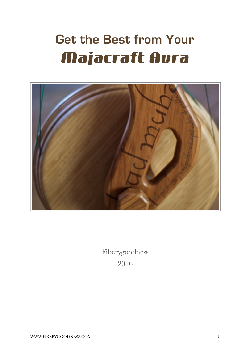# **Get the Best from Your Majacraft Aura**



Fiberygoodness 2016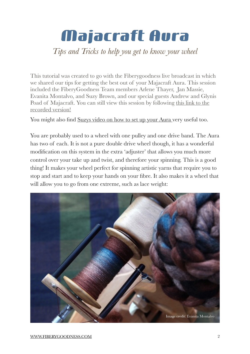# **Majacraft Aura**

### *Tips and Tricks to help you get to know your wheel*

This tutorial was created to go with the Fiberygoodness live broadcast in which we shared our tips for getting the best out of your Majacraft Aura. This session included the FiberyGoodness Team members Arlene Thayer, Jan Massie, Evanita Montalvo, and Suzy Brown, and our special guests Andrew and Glynis [Poad of Majacraft. You can still view this session by following this link to the](https://youtu.be/m-CbCVHdSws)  recorded version!

You might also find [Suzys video on how to set up your Aura v](https://youtu.be/kgChnTL1MBI)ery useful too.

You are probably used to a wheel with one pulley and one drive band. The Aura has two of each. It is not a pure double drive wheel though, it has a wonderful modification on this system in the extra 'adjuster' that allows you much more control over your take up and twist, and therefore your spinning. This is a good thing! It makes your wheel perfect for spinning artistic yarns that require you to stop and start and to keep your hands on your fibre. It also makes it a wheel that will allow you to go from one extreme, such as lace weight:

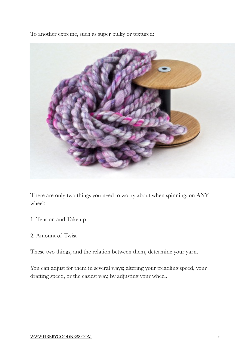To another extreme, such as super bulky or textured:



There are only two things you need to worry about when spinning, on ANY wheel:

- 1. Tension and Take up
- 2. Amount of Twist

These two things, and the relation between them, determine your yarn.

You can adjust for them in several ways; altering your treadling speed, your drafting speed, or the easiest way, by adjusting your wheel.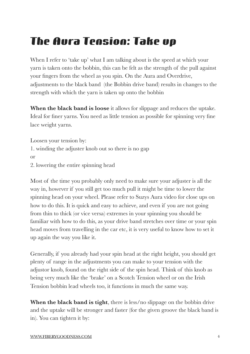## **The Aura Tension: Take up**

When I refer to 'take up' what I am talking about is the speed at which your yarn is taken onto the bobbin, this can be felt as the strength of the pull against your fingers from the wheel as you spin. On the Aura and Overdrive, adjustments to the black band (the Bobbin drive band) results in changes to the strength with which the yarn is taken up onto the bobbin

**When the black band is loose** it allows for slippage and reduces the uptake. Ideal for finer yarns. You need as little tension as possible for spinning very fine lace weight yarns.

Loosen your tension by: 1. winding the adjuster knob out so there is no gap or 2. lowering the entire spinning head

Most of the time you probably only need to make sure your adjuster is all the way in, however if you still get too much pull it might be time to lower the spinning head on your wheel. Please refer to Suzys Aura video for close ups on how to do this. It is quick and easy to achieve, and even if you are not going from thin to thick (or vice versa) extremes in your spinning you should be familiar with how to do this, as your drive band stretches over time or your spin head moves from travelling in the car etc, it is very useful to know how to set it up again the way you like it.

Generally, if you already had your spin head at the right height, you should get plenty of range in the adjustments you can make to your tension with the adjustor knob, found on the right side of the spin head. Think of this knob as being very much like the 'brake' on a Scotch Tension wheel or on the Irish Tension bobbin lead wheels too, it functions in much the same way.

**When the black band is tight**, there is less/no slippage on the bobbin drive and the uptake will be stronger and faster (for the given groove the black band is in). You can tighten it by: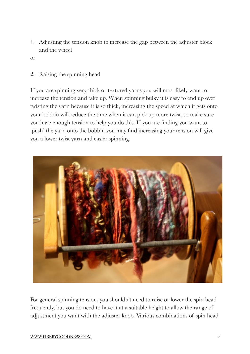- 1. Adjusting the tension knob to increase the gap between the adjuster block and the wheel
- or
- 2. Raising the spinning head

If you are spinning very thick or textured yarns you will most likely want to increase the tension and take up. When spinning bulky it is easy to end up over twisting the yarn because it is so thick, increasing the speed at which it gets onto your bobbin will reduce the time when it can pick up more twist, so make sure you have enough tension to help you do this. If you are finding you want to 'push' the yarn onto the bobbin you may find increasing your tension will give you a lower twist yarn and easier spinning.



For general spinning tension, you shouldn't need to raise or lower the spin head frequently, but you do need to have it at a suitable height to allow the range of adjustment you want with the adjuster knob. Various combinations of spin head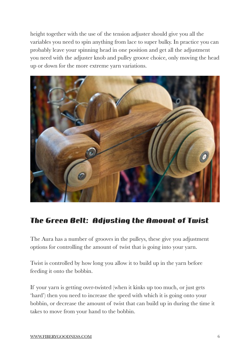height together with the use of the tension adjuster should give you all the variables you need to spin anything from lace to super bulky. In practice you can probably leave your spinning head in one position and get all the adjustment you need with the adjuster knob and pulley groove choice, only moving the head up or down for the more extreme yarn variations.



### **The Green Belt: Adjusting the Amount of Twist**

The Aura has a number of grooves in the pulleys, these give you adjustment options for controlling the amount of twist that is going into your yarn.

Twist is controlled by how long you allow it to build up in the yarn before feeding it onto the bobbin.

If your yarn is getting over-twisted (when it kinks up too much, or just gets 'hard') then you need to increase the speed with which it is going onto your bobbin, or decrease the amount of twist that can build up in during the time it takes to move from your hand to the bobbin.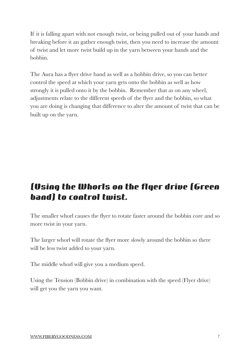If it is falling apart with not enough twist, or being pulled out of your hands and breaking before it an gather enough twist, then you need to increase the amount of twist and let more twist build up in the yarn between your hands and the bobbin.

The Aura has a flyer drive band as well as a bobbin drive, so you can better control the speed at which your yarn gets onto the bobbin as well as how strongly it is pulled onto it by the bobbin. Remember that as on any wheel, adjustments relate to the different speeds of the flyer and the bobbin, so what you are doing is changing that difference to alter the amount of twist that can be built up on the yarn.

### **(Using the Whorls on the flyer drive (Green band) to control twist.**

The smaller whorl causes the flyer to rotate faster around the bobbin core and so more twist in your yarn.

The larger whorl will rotate the flyer more slowly around the bobbin so there will be less twist added to your yarn.

The middle whorl will give you a medium speed.

Using the Tension (Bobbin drive) in combination with the speed (Flyer drive) will get you the yarn you want.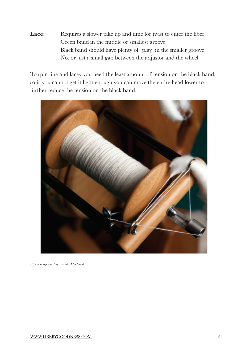**Lace:** Requires a slower take up and time for twist to enter the fiber Green band in the middle or smallest groove Black band should have plenty of 'play' in the smaller groove No, or just a small gap between the adjustor and the wheel

To spin fine and lacey you need the least amount of tension on the black band, so if you cannot get it light enough you can move the entire head lower to further reduce the tension on the black band.



*(Above image courtesy Evanita Montalvo)*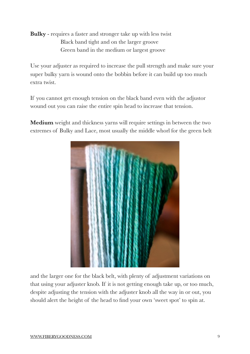**Bulky** - requires a faster and stronger take up with less twist Black band tight and on the larger groove Green band in the medium or largest groove

Use your adjuster as required to increase the pull strength and make sure your super bulky yarn is wound onto the bobbin before it can build up too much extra twist.

If you cannot get enough tension on the black band even with the adjustor wound out you can raise the entire spin head to increase that tension.

**Medium** weight and thickness yarns will require settings in between the two extremes of Bulky and Lace, most usually the middle whorl for the green belt



and the larger one for the black belt, with plenty of adjustment variations on that using your adjuster knob. If it is not getting enough take up, or too much, despite adjusting the tension with the adjuster knob all the way in or out, you should alert the height of the head to find your own 'sweet spot' to spin at.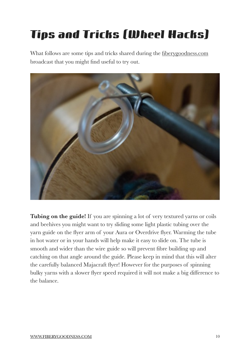# **Tips and Tricks (Wheel Hacks)**

What follows are some tips and tricks shared during the [fiberygoodness.com](http://fiberygoodness.com) broadcast that you might find useful to try out.



**Tubing on the guide!** If you are spinning a lot of very textured yarns or coils and beehives you might want to try sliding some light plastic tubing over the yarn guide on the flyer arm of your Aura or Overdrive flyer. Warming the tube in hot water or in your hands will help make it easy to slide on. The tube is smooth and wider than the wire guide so will prevent fibre building up and catching on that angle around the guide. Please keep in mind that this will alter the carefully balanced Majacraft flyer! However for the purposes of spinning bulky yarns with a slower flyer speed required it will not make a big difference to the balance.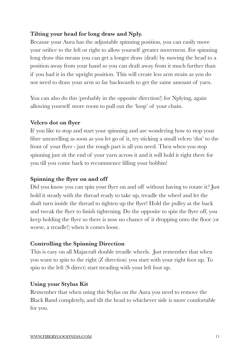#### **Tilting your head for long draw and Nply.**

Because your Aura has the adjustable spinning position, you can easily move your orifice to the left or right to allow yourself greater movement. For spinning long draw this means you can get a longer draw (draft) by moving the head to a position away from your hand so you can draft away from it much further than if you had it in the upright position. This will create less arm strain as you do not need to draw your arm so far backwards to get the same amount of yarn.

You can also do this (probably in the opposite direction!) for Nplying, again allowing yourself more room to pull out the 'loop' of your chain.

#### **Velcro dot on flyer**

If you like to stop and start your spinning and are wondering how to stop your fibre unravelling as soon as you let go of it, try sticking a small velcro 'dot' to the front of your flyer - just the rough part is all you need. Then when you stop spinning just sit the end of your yarn across it and it will hold it right there for you till you come back to recommence filling your bobbin!

#### **Spinning the flyer on and off**

Did you know you can spin your flyer on and off without having to rotate it? Just hold it steady with the thread ready to take up, treadle the wheel and let the shaft turn inside the thread to tighten up the flyer! Hold the pulley at the back and tweak the flyer to finish tightening. Do the opposite to spin the flyer off, you keep holding the flyer so there is now no chance of it dropping onto the floor (or worse, a treadle!) when it comes loose.

#### **Controlling the Spinning Direction**

This is easy on all Majacraft double treadle wheels. Just remember that when you want to spin to the right (Z direction) you start with your right foot up. To spin to the left (S direct) start treading with your left foot up.

#### **Using your Stylus Kit**

Remember that when using this Stylus on the Aura you need to remove the Black Band completely, and tilt the head to whichever side is more comfortable for you.